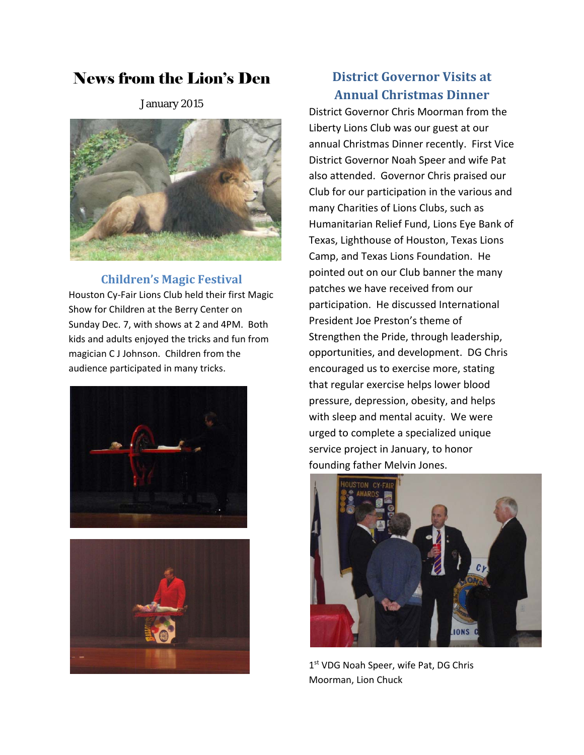# News from the Lion's Den

January 2015



## **Children's Magic Festival**

Houston Cy‐Fair Lions Club held their first Magic Show for Children at the Berry Center on Sunday Dec. 7, with shows at 2 and 4PM. Both kids and adults enjoyed the tricks and fun from magician C J Johnson. Children from the audience participated in many tricks.





## **District Governor Visits at Annual Christmas Dinner**

District Governor Chris Moorman from the Liberty Lions Club was our guest at our annual Christmas Dinner recently. First Vice District Governor Noah Speer and wife Pat also attended. Governor Chris praised our Club for our participation in the various and many Charities of Lions Clubs, such as Humanitarian Relief Fund, Lions Eye Bank of Texas, Lighthouse of Houston, Texas Lions Camp, and Texas Lions Foundation. He pointed out on our Club banner the many patches we have received from our participation. He discussed International President Joe Preston's theme of Strengthen the Pride, through leadership, opportunities, and development. DG Chris encouraged us to exercise more, stating that regular exercise helps lower blood pressure, depression, obesity, and helps with sleep and mental acuity. We were urged to complete a specialized unique service project in January, to honor founding father Melvin Jones.



1st VDG Noah Speer, wife Pat, DG Chris Moorman, Lion Chuck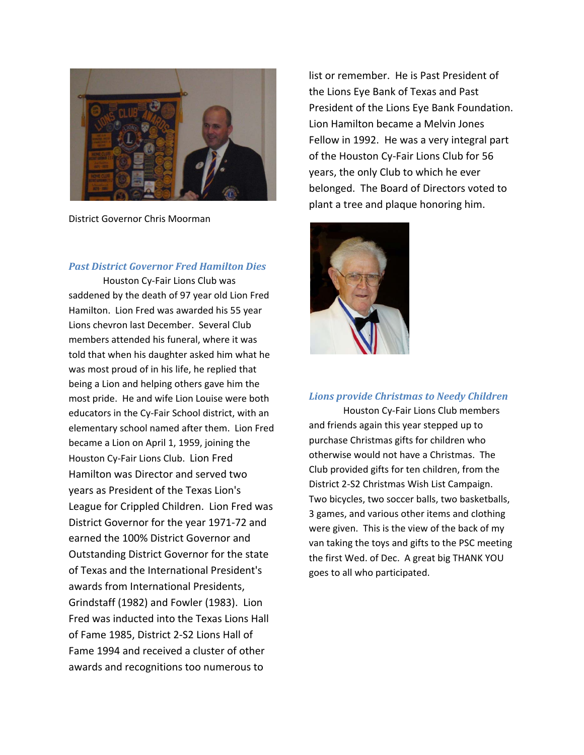

District Governor Chris Moorman

#### *Past District Governor Fred Hamilton Dies*

Houston Cy‐Fair Lions Club was saddened by the death of 97 year old Lion Fred Hamilton. Lion Fred was awarded his 55 year Lions chevron last December. Several Club members attended his funeral, where it was told that when his daughter asked him what he was most proud of in his life, he replied that being a Lion and helping others gave him the most pride. He and wife Lion Louise were both educators in the Cy‐Fair School district, with an elementary school named after them. Lion Fred became a Lion on April 1, 1959, joining the Houston Cy‐Fair Lions Club. Lion Fred Hamilton was Director and served two years as President of the Texas Lion's League for Crippled Children. Lion Fred was District Governor for the year 1971‐72 and earned the 100% District Governor and Outstanding District Governor for the state of Texas and the International President's awards from International Presidents, Grindstaff (1982) and Fowler (1983). Lion Fred was inducted into the Texas Lions Hall of Fame 1985, District 2‐S2 Lions Hall of Fame 1994 and received a cluster of other awards and recognitions too numerous to

list or remember. He is Past President of the Lions Eye Bank of Texas and Past President of the Lions Eye Bank Foundation. Lion Hamilton became a Melvin Jones Fellow in 1992. He was a very integral part of the Houston Cy‐Fair Lions Club for 56 years, the only Club to which he ever belonged. The Board of Directors voted to plant a tree and plaque honoring him.



#### *Lions provide Christmas to Needy Children*

Houston Cy‐Fair Lions Club members and friends again this year stepped up to purchase Christmas gifts for children who otherwise would not have a Christmas. The Club provided gifts for ten children, from the District 2‐S2 Christmas Wish List Campaign. Two bicycles, two soccer balls, two basketballs, 3 games, and various other items and clothing were given. This is the view of the back of my van taking the toys and gifts to the PSC meeting the first Wed. of Dec. A great big THANK YOU goes to all who participated.